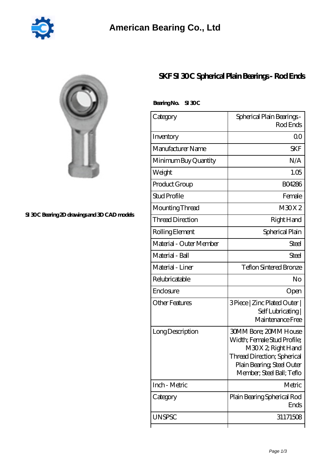

## **[SI 30 C Bearing 2D drawings and 3D CAD models](https://2reflex.de/pic-256131.html)**

## **[SKF SI 30 C Spherical Plain Bearings - Rod Ends](https://2reflex.de/by-256131-skf-si-30-c-spherical-plain-bearings-rod-ends.html)**

| BearingNo. | SI 30C |
|------------|--------|
|------------|--------|

| Category                | Spherical Plain Bearings -<br>Rod Ends                                                                                                                              |  |
|-------------------------|---------------------------------------------------------------------------------------------------------------------------------------------------------------------|--|
| Inventory               | 0 <sub>0</sub>                                                                                                                                                      |  |
| Manufacturer Name       | <b>SKF</b>                                                                                                                                                          |  |
| Minimum Buy Quantity    | N/A                                                                                                                                                                 |  |
| Weight                  | 1.05                                                                                                                                                                |  |
| Product Group           | <b>BO4286</b>                                                                                                                                                       |  |
| <b>Stud Profile</b>     | Female                                                                                                                                                              |  |
| Mounting Thread         | M30X2                                                                                                                                                               |  |
| <b>Thread Direction</b> | Right Hand                                                                                                                                                          |  |
| Rolling Element         | Spherical Plain                                                                                                                                                     |  |
| Material - Outer Member | Steel                                                                                                                                                               |  |
| Material - Ball         | Steel                                                                                                                                                               |  |
| Material - Liner        | <b>Teflon Sintered Bronze</b>                                                                                                                                       |  |
| Relubricatable          | No                                                                                                                                                                  |  |
| Enclosure               | Open                                                                                                                                                                |  |
| <b>Other Features</b>   | 3 Piece   Zinc Plated Outer  <br>Self Lubricating<br>Maintenance Free                                                                                               |  |
| Long Description        | 30MM Bore; 20MM House<br>Width; Female Stud Profile;<br>M30X2, Right Hand<br>Thread Direction; Spherical<br>Plain Bearing; Steel Outer<br>Member; Steel Ball; Teflo |  |
| Inch - Metric           | Metric                                                                                                                                                              |  |
| Category                | Plain Bearing Spherical Rod<br>Ends                                                                                                                                 |  |
| <b>UNSPSC</b>           | 31171508                                                                                                                                                            |  |
|                         |                                                                                                                                                                     |  |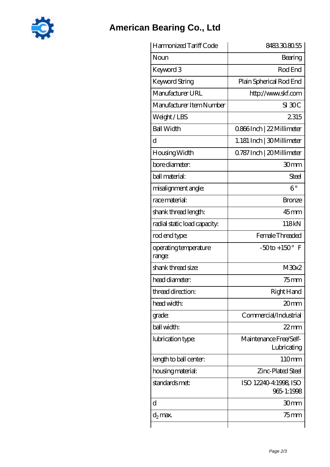

## **[American Bearing Co., Ltd](https://2reflex.de)**

| Harmonized Tariff Code          | 8483308055                            |  |
|---------------------------------|---------------------------------------|--|
| Noun                            | Bearing                               |  |
| Keyword 3                       | Rod End                               |  |
| <b>Keyword String</b>           | Plain Spherical Rod End               |  |
| Manufacturer URL                | http://www.skf.com                    |  |
| Manufacturer Item Number        | $SI$ $30C$                            |  |
| Weight/LBS                      | 2315                                  |  |
| <b>Ball Width</b>               | 0.866Inch   22 Millimeter             |  |
| d                               | 1.181 Inch   30 Millimeter            |  |
| Housing Width                   | 0.787 Inch   20 Millimeter            |  |
| bore diameter:                  | 30 <sub>mm</sub>                      |  |
| ball material:                  | Steel                                 |  |
| misalignment angle:             | $6^{\circ}$                           |  |
| race material:                  | <b>Bronze</b>                         |  |
| shank thread length:            | $45$ mm                               |  |
| radial static load capacity:    | 118kN                                 |  |
| rod end type:                   | Female Threaded                       |  |
| operating temperature<br>range: | $-50$ to + 150° F                     |  |
| shank thread size:              | M30x2                                 |  |
| head diameter:                  | $75$ mm                               |  |
| thread direction:               | Right Hand                            |  |
| head width:                     | 20 <sub>mm</sub>                      |  |
| grade:                          | Commercial/Industrial                 |  |
| ball width:                     | $22$ mm                               |  |
| lubrication type:               | Maintenance Free/Self-<br>Lubricating |  |
| length to ball center:          | 110mm                                 |  |
| housing material:               | Zinc-Plated Steel                     |  |
| standards met:                  | ISO 12240-4:1998, ISO<br>965-1:1998   |  |
| d                               | 30mm                                  |  |
| $d_2$ max.                      | 75 mm                                 |  |
|                                 |                                       |  |